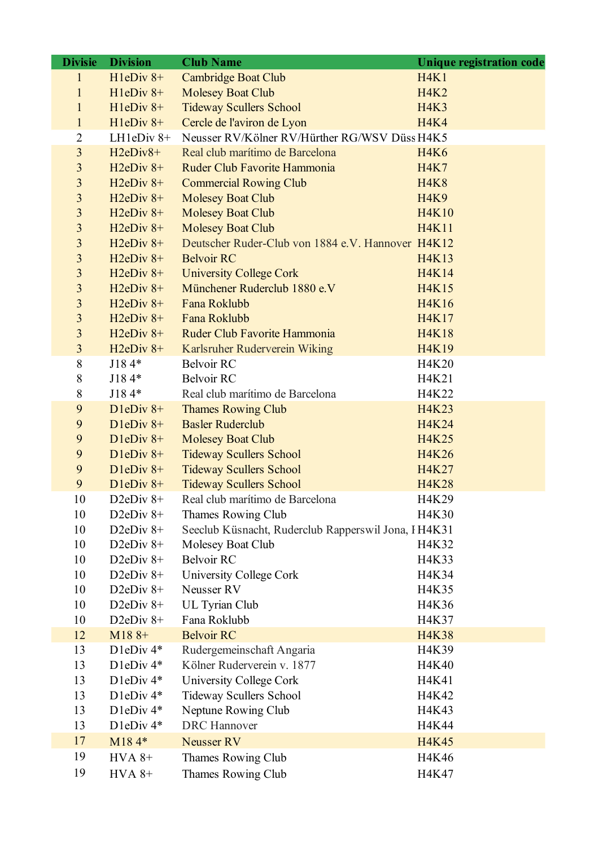| $H1eDiv 8+$<br><b>Cambridge Boat Club</b><br>H4K1<br>$H1eDiv 8+$<br><b>Molesey Boat Club</b><br><b>H4K2</b><br><b>Tideway Scullers School</b><br>$H1eDiv 8+$<br><b>H4K3</b><br>$H1eDiv 8+$<br>Cercle de l'aviron de Lyon<br><b>H4K4</b><br>$\mathbf{1}$<br>Neusser RV/Kölner RV/Hürther RG/WSV Düss H4K5<br>2<br>LH $1eDiv 8+$<br>$\overline{3}$<br>Real club marítimo de Barcelona<br>$H2eDiv8+$<br><b>H4K6</b><br>$\overline{3}$<br>$H2eDiv 8+$<br>Ruder Club Favorite Hammonia<br><b>H4K7</b><br>$H2eDiv 8+$<br><b>Commercial Rowing Club</b><br><b>H4K8</b><br>3<br>3<br>$H2eDiv 8+$<br><b>Molesey Boat Club</b><br><b>H4K9</b><br>3<br>$H2eDiv 8+$<br><b>Molesey Boat Club</b><br><b>H4K10</b><br>3<br>$H2eDiv 8+$<br><b>Molesey Boat Club</b><br><b>H4K11</b><br>$H2eDiv 8+$<br>Deutscher Ruder-Club von 1884 e.V. Hannover H4K12<br>3<br>$\overline{3}$<br>$H2eDiv 8+$<br><b>Belvoir RC</b><br>H4K13<br>3<br>$H2eDiv 8+$<br><b>University College Cork</b><br><b>H4K14</b><br>Münchener Ruderclub 1880 e.V<br>3<br>$H2eDiv 8+$<br><b>H4K15</b><br>3<br>$H2eDiv 8+$<br>Fana Roklubb<br><b>H4K16</b><br>$H2eDiv 8+$<br>Fana Roklubb<br><b>H4K17</b> |
|----------------------------------------------------------------------------------------------------------------------------------------------------------------------------------------------------------------------------------------------------------------------------------------------------------------------------------------------------------------------------------------------------------------------------------------------------------------------------------------------------------------------------------------------------------------------------------------------------------------------------------------------------------------------------------------------------------------------------------------------------------------------------------------------------------------------------------------------------------------------------------------------------------------------------------------------------------------------------------------------------------------------------------------------------------------------------------------------------------------------------------------------------------|
|                                                                                                                                                                                                                                                                                                                                                                                                                                                                                                                                                                                                                                                                                                                                                                                                                                                                                                                                                                                                                                                                                                                                                          |
|                                                                                                                                                                                                                                                                                                                                                                                                                                                                                                                                                                                                                                                                                                                                                                                                                                                                                                                                                                                                                                                                                                                                                          |
|                                                                                                                                                                                                                                                                                                                                                                                                                                                                                                                                                                                                                                                                                                                                                                                                                                                                                                                                                                                                                                                                                                                                                          |
|                                                                                                                                                                                                                                                                                                                                                                                                                                                                                                                                                                                                                                                                                                                                                                                                                                                                                                                                                                                                                                                                                                                                                          |
|                                                                                                                                                                                                                                                                                                                                                                                                                                                                                                                                                                                                                                                                                                                                                                                                                                                                                                                                                                                                                                                                                                                                                          |
|                                                                                                                                                                                                                                                                                                                                                                                                                                                                                                                                                                                                                                                                                                                                                                                                                                                                                                                                                                                                                                                                                                                                                          |
|                                                                                                                                                                                                                                                                                                                                                                                                                                                                                                                                                                                                                                                                                                                                                                                                                                                                                                                                                                                                                                                                                                                                                          |
|                                                                                                                                                                                                                                                                                                                                                                                                                                                                                                                                                                                                                                                                                                                                                                                                                                                                                                                                                                                                                                                                                                                                                          |
|                                                                                                                                                                                                                                                                                                                                                                                                                                                                                                                                                                                                                                                                                                                                                                                                                                                                                                                                                                                                                                                                                                                                                          |
|                                                                                                                                                                                                                                                                                                                                                                                                                                                                                                                                                                                                                                                                                                                                                                                                                                                                                                                                                                                                                                                                                                                                                          |
|                                                                                                                                                                                                                                                                                                                                                                                                                                                                                                                                                                                                                                                                                                                                                                                                                                                                                                                                                                                                                                                                                                                                                          |
|                                                                                                                                                                                                                                                                                                                                                                                                                                                                                                                                                                                                                                                                                                                                                                                                                                                                                                                                                                                                                                                                                                                                                          |
|                                                                                                                                                                                                                                                                                                                                                                                                                                                                                                                                                                                                                                                                                                                                                                                                                                                                                                                                                                                                                                                                                                                                                          |
|                                                                                                                                                                                                                                                                                                                                                                                                                                                                                                                                                                                                                                                                                                                                                                                                                                                                                                                                                                                                                                                                                                                                                          |
|                                                                                                                                                                                                                                                                                                                                                                                                                                                                                                                                                                                                                                                                                                                                                                                                                                                                                                                                                                                                                                                                                                                                                          |
|                                                                                                                                                                                                                                                                                                                                                                                                                                                                                                                                                                                                                                                                                                                                                                                                                                                                                                                                                                                                                                                                                                                                                          |
| $\overline{3}$                                                                                                                                                                                                                                                                                                                                                                                                                                                                                                                                                                                                                                                                                                                                                                                                                                                                                                                                                                                                                                                                                                                                           |
| Ruder Club Favorite Hammonia<br>3<br>$H2eDiv 8+$<br><b>H4K18</b>                                                                                                                                                                                                                                                                                                                                                                                                                                                                                                                                                                                                                                                                                                                                                                                                                                                                                                                                                                                                                                                                                         |
| $\overline{3}$<br>$H2eDiv 8+$<br>Karlsruher Ruderverein Wiking<br>H4K19                                                                                                                                                                                                                                                                                                                                                                                                                                                                                                                                                                                                                                                                                                                                                                                                                                                                                                                                                                                                                                                                                  |
| <b>Belvoir RC</b><br>8<br>$J184*$<br>H4K20                                                                                                                                                                                                                                                                                                                                                                                                                                                                                                                                                                                                                                                                                                                                                                                                                                                                                                                                                                                                                                                                                                               |
| $J184*$<br><b>Belvoir RC</b><br>8<br>H4K21                                                                                                                                                                                                                                                                                                                                                                                                                                                                                                                                                                                                                                                                                                                                                                                                                                                                                                                                                                                                                                                                                                               |
| 8<br>J184*<br>Real club marítimo de Barcelona<br>H4K22                                                                                                                                                                                                                                                                                                                                                                                                                                                                                                                                                                                                                                                                                                                                                                                                                                                                                                                                                                                                                                                                                                   |
| $D$ leDiv 8+<br>9<br><b>Thames Rowing Club</b><br>H4K23                                                                                                                                                                                                                                                                                                                                                                                                                                                                                                                                                                                                                                                                                                                                                                                                                                                                                                                                                                                                                                                                                                  |
| 9<br>$D$ leDiv 8+<br><b>Basler Ruderclub</b><br>H4K24                                                                                                                                                                                                                                                                                                                                                                                                                                                                                                                                                                                                                                                                                                                                                                                                                                                                                                                                                                                                                                                                                                    |
| <b>H4K25</b><br>9<br>$D$ leDiv 8+<br><b>Molesey Boat Club</b>                                                                                                                                                                                                                                                                                                                                                                                                                                                                                                                                                                                                                                                                                                                                                                                                                                                                                                                                                                                                                                                                                            |
| 9<br>$D$ leDiv 8+<br><b>Tideway Scullers School</b><br>H4K26                                                                                                                                                                                                                                                                                                                                                                                                                                                                                                                                                                                                                                                                                                                                                                                                                                                                                                                                                                                                                                                                                             |
| <b>Tideway Scullers School</b><br>$D$ leDiv 8+<br>H4K27<br>9                                                                                                                                                                                                                                                                                                                                                                                                                                                                                                                                                                                                                                                                                                                                                                                                                                                                                                                                                                                                                                                                                             |
| 9<br>$D1eDiv 8+$<br><b>Tideway Scullers School</b><br><b>H4K28</b>                                                                                                                                                                                                                                                                                                                                                                                                                                                                                                                                                                                                                                                                                                                                                                                                                                                                                                                                                                                                                                                                                       |
| 10<br>D2eDiv $8+$<br>Real club marítimo de Barcelona<br>H4K29                                                                                                                                                                                                                                                                                                                                                                                                                                                                                                                                                                                                                                                                                                                                                                                                                                                                                                                                                                                                                                                                                            |
| 10<br>D2eDiv $8+$<br>Thames Rowing Club<br>H4K30                                                                                                                                                                                                                                                                                                                                                                                                                                                                                                                                                                                                                                                                                                                                                                                                                                                                                                                                                                                                                                                                                                         |
| D <sub>2</sub> eD <sub>iv</sub> 8+<br>Seeclub Küsnacht, Ruderclub Rapperswil Jona, I H4K31<br>10                                                                                                                                                                                                                                                                                                                                                                                                                                                                                                                                                                                                                                                                                                                                                                                                                                                                                                                                                                                                                                                         |
| D <sub>2</sub> eD <sub>iv</sub> 8+<br>10<br>Molesey Boat Club<br>H4K32                                                                                                                                                                                                                                                                                                                                                                                                                                                                                                                                                                                                                                                                                                                                                                                                                                                                                                                                                                                                                                                                                   |
| D2eDiv $8+$<br><b>Belvoir RC</b><br>H4K33<br>10                                                                                                                                                                                                                                                                                                                                                                                                                                                                                                                                                                                                                                                                                                                                                                                                                                                                                                                                                                                                                                                                                                          |
| University College Cork<br>10<br>D2eDiv $8+$<br>H4K34                                                                                                                                                                                                                                                                                                                                                                                                                                                                                                                                                                                                                                                                                                                                                                                                                                                                                                                                                                                                                                                                                                    |
| H4K35<br>10<br>D2eDiv $8+$<br>Neusser RV                                                                                                                                                                                                                                                                                                                                                                                                                                                                                                                                                                                                                                                                                                                                                                                                                                                                                                                                                                                                                                                                                                                 |
| D <sub>2</sub> eD <sub>iv</sub> 8+<br>UL Tyrian Club<br>10<br>H4K36                                                                                                                                                                                                                                                                                                                                                                                                                                                                                                                                                                                                                                                                                                                                                                                                                                                                                                                                                                                                                                                                                      |
| Fana Roklubb<br>H4K37<br>10<br>D2eDiv $8+$                                                                                                                                                                                                                                                                                                                                                                                                                                                                                                                                                                                                                                                                                                                                                                                                                                                                                                                                                                                                                                                                                                               |
| <b>Belvoir RC</b><br>$M188+$<br><b>H4K38</b><br>12                                                                                                                                                                                                                                                                                                                                                                                                                                                                                                                                                                                                                                                                                                                                                                                                                                                                                                                                                                                                                                                                                                       |
| D1eDiv 4*<br>Rudergemeinschaft Angaria<br>H4K39<br>13                                                                                                                                                                                                                                                                                                                                                                                                                                                                                                                                                                                                                                                                                                                                                                                                                                                                                                                                                                                                                                                                                                    |
| D1eDiv 4*<br>Kölner Ruderverein v. 1877<br>13<br>H4K40                                                                                                                                                                                                                                                                                                                                                                                                                                                                                                                                                                                                                                                                                                                                                                                                                                                                                                                                                                                                                                                                                                   |
| 13<br>D1eDiv 4*<br>H4K41<br>University College Cork                                                                                                                                                                                                                                                                                                                                                                                                                                                                                                                                                                                                                                                                                                                                                                                                                                                                                                                                                                                                                                                                                                      |
| D1eDiv 4*<br>Tideway Scullers School<br>13<br>H4K42                                                                                                                                                                                                                                                                                                                                                                                                                                                                                                                                                                                                                                                                                                                                                                                                                                                                                                                                                                                                                                                                                                      |
| Neptune Rowing Club<br>13<br>D <sub>1</sub> eD <sub>iv</sub> 4*<br>H4K43                                                                                                                                                                                                                                                                                                                                                                                                                                                                                                                                                                                                                                                                                                                                                                                                                                                                                                                                                                                                                                                                                 |
| D1eDiv 4*<br><b>DRC</b> Hannover<br>H4K44<br>13                                                                                                                                                                                                                                                                                                                                                                                                                                                                                                                                                                                                                                                                                                                                                                                                                                                                                                                                                                                                                                                                                                          |
| 17<br>M184*<br><b>Neusser RV</b><br><b>H4K45</b>                                                                                                                                                                                                                                                                                                                                                                                                                                                                                                                                                                                                                                                                                                                                                                                                                                                                                                                                                                                                                                                                                                         |
| 19<br>Thames Rowing Club<br>H4K46<br>$HVA 8+$                                                                                                                                                                                                                                                                                                                                                                                                                                                                                                                                                                                                                                                                                                                                                                                                                                                                                                                                                                                                                                                                                                            |
| 19<br>$HVA 8+$<br>Thames Rowing Club<br>H4K47                                                                                                                                                                                                                                                                                                                                                                                                                                                                                                                                                                                                                                                                                                                                                                                                                                                                                                                                                                                                                                                                                                            |